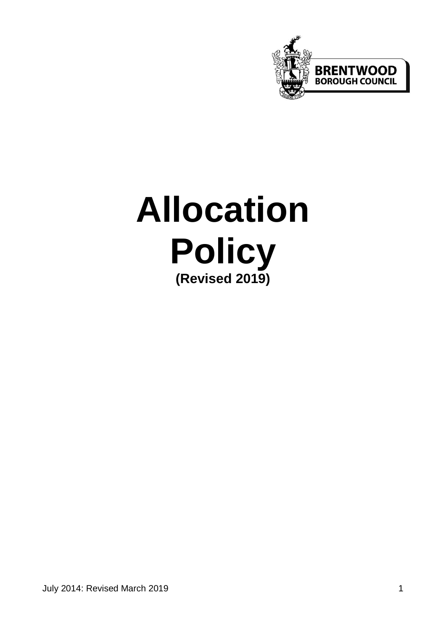

# **Allocation Policy (Revised 2019)**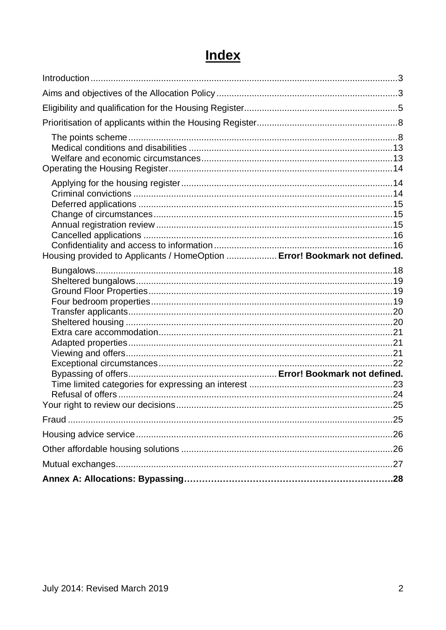## **Index**

| Housing provided to Applicants / HomeOption  Error! Bookmark not defined. |  |
|---------------------------------------------------------------------------|--|
|                                                                           |  |
|                                                                           |  |
|                                                                           |  |
|                                                                           |  |
|                                                                           |  |
|                                                                           |  |
|                                                                           |  |
|                                                                           |  |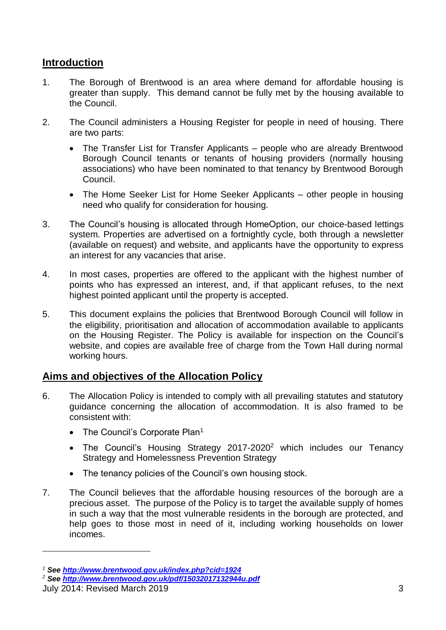### <span id="page-2-0"></span>**Introduction**

- 1. The Borough of Brentwood is an area where demand for affordable housing is greater than supply. This demand cannot be fully met by the housing available to the Council.
- 2. The Council administers a Housing Register for people in need of housing. There are two parts:
	- The Transfer List for Transfer Applicants people who are already Brentwood Borough Council tenants or tenants of housing providers (normally housing associations) who have been nominated to that tenancy by Brentwood Borough Council.
	- The Home Seeker List for Home Seeker Applicants other people in housing need who qualify for consideration for housing.
- 3. The Council's housing is allocated through HomeOption, our choice-based lettings system. Properties are advertised on a fortnightly cycle, both through a newsletter (available on request) and website, and applicants have the opportunity to express an interest for any vacancies that arise.
- 4. In most cases, properties are offered to the applicant with the highest number of points who has expressed an interest, and, if that applicant refuses, to the next highest pointed applicant until the property is accepted.
- 5. This document explains the policies that Brentwood Borough Council will follow in the eligibility, prioritisation and allocation of accommodation available to applicants on the Housing Register. The Policy is available for inspection on the Council's website, and copies are available free of charge from the Town Hall during normal working hours.

### <span id="page-2-1"></span>**Aims and objectives of the Allocation Policy**

- 6. The Allocation Policy is intended to comply with all prevailing statutes and statutory guidance concerning the allocation of accommodation. It is also framed to be consistent with:
	- The Council's Corporate Plan<sup>1</sup>
	- The Council's Housing Strategy 2017-2020<sup>2</sup> which includes our Tenancy Strategy and Homelessness Prevention Strategy
	- The tenancy policies of the Council's own housing stock.
- 7. The Council believes that the affordable housing resources of the borough are a precious asset. The purpose of the Policy is to target the available supply of homes in such a way that the most vulnerable residents in the borough are protected, and help goes to those most in need of it, including working households on lower incomes.

1

*<sup>1</sup> See<http://www.brentwood.gov.uk/index.php?cid=1924>*

*<sup>2</sup> See<http://www.brentwood.gov.uk/pdf/15032017132944u.pdf>*

July 2014: Revised March 2019 3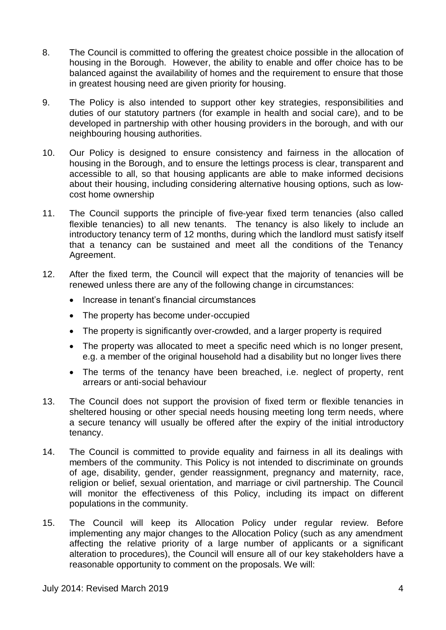- 8. The Council is committed to offering the greatest choice possible in the allocation of housing in the Borough. However, the ability to enable and offer choice has to be balanced against the availability of homes and the requirement to ensure that those in greatest housing need are given priority for housing.
- 9. The Policy is also intended to support other key strategies, responsibilities and duties of our statutory partners (for example in health and social care), and to be developed in partnership with other housing providers in the borough, and with our neighbouring housing authorities.
- 10. Our Policy is designed to ensure consistency and fairness in the allocation of housing in the Borough, and to ensure the lettings process is clear, transparent and accessible to all, so that housing applicants are able to make informed decisions about their housing, including considering alternative housing options, such as lowcost home ownership
- 11. The Council supports the principle of five-year fixed term tenancies (also called flexible tenancies) to all new tenants. The tenancy is also likely to include an introductory tenancy term of 12 months, during which the landlord must satisfy itself that a tenancy can be sustained and meet all the conditions of the Tenancy Agreement.
- 12. After the fixed term, the Council will expect that the majority of tenancies will be renewed unless there are any of the following change in circumstances:
	- Increase in tenant's financial circumstances
	- The property has become under-occupied
	- The property is significantly over-crowded, and a larger property is required
	- The property was allocated to meet a specific need which is no longer present, e.g. a member of the original household had a disability but no longer lives there
	- The terms of the tenancy have been breached, i.e. neglect of property, rent arrears or anti-social behaviour
- 13. The Council does not support the provision of fixed term or flexible tenancies in sheltered housing or other special needs housing meeting long term needs, where a secure tenancy will usually be offered after the expiry of the initial introductory tenancy.
- 14. The Council is committed to provide equality and fairness in all its dealings with members of the community. This Policy is not intended to discriminate on grounds of age, disability, gender, gender reassignment, pregnancy and maternity, race, religion or belief, sexual orientation, and marriage or civil partnership. The Council will monitor the effectiveness of this Policy, including its impact on different populations in the community.
- 15. The Council will keep its Allocation Policy under regular review. Before implementing any major changes to the Allocation Policy (such as any amendment affecting the relative priority of a large number of applicants or a significant alteration to procedures), the Council will ensure all of our key stakeholders have a reasonable opportunity to comment on the proposals. We will: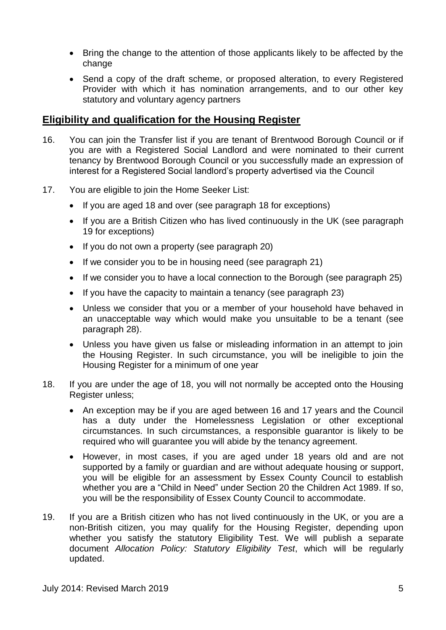- Bring the change to the attention of those applicants likely to be affected by the change
- Send a copy of the draft scheme, or proposed alteration, to every Registered Provider with which it has nomination arrangements, and to our other key statutory and voluntary agency partners

#### <span id="page-4-0"></span>**Eligibility and qualification for the Housing Register**

- 16. You can join the Transfer list if you are tenant of Brentwood Borough Council or if you are with a Registered Social Landlord and were nominated to their current tenancy by Brentwood Borough Council or you successfully made an expression of interest for a Registered Social landlord's property advertised via the Council
- 17. You are eligible to join the Home Seeker List:
	- If you are aged 18 and over (see paragraph 18 for exceptions)
	- If you are a British Citizen who has lived continuously in the UK (see paragraph 19 for exceptions)
	- If you do not own a property (see paragraph 20)
	- If we consider you to be in housing need (see paragraph 21)
	- If we consider you to have a local connection to the Borough (see paragraph 25)
	- If you have the capacity to maintain a tenancy (see paragraph 23)
	- Unless we consider that you or a member of your household have behaved in an unacceptable way which would make you unsuitable to be a tenant (see paragraph 28).
	- Unless you have given us false or misleading information in an attempt to join the Housing Register. In such circumstance, you will be ineligible to join the Housing Register for a minimum of one year
- 18. If you are under the age of 18, you will not normally be accepted onto the Housing Register unless:
	- An exception may be if you are aged between 16 and 17 years and the Council has a duty under the Homelessness Legislation or other exceptional circumstances. In such circumstances, a responsible guarantor is likely to be required who will guarantee you will abide by the tenancy agreement.
	- However, in most cases, if you are aged under 18 years old and are not supported by a family or guardian and are without adequate housing or support, you will be eligible for an assessment by Essex County Council to establish whether you are a "Child in Need" under Section 20 the Children Act 1989. If so, you will be the responsibility of Essex County Council to accommodate.
- 19. If you are a British citizen who has not lived continuously in the UK, or you are a non-British citizen, you may qualify for the Housing Register, depending upon whether you satisfy the statutory Eligibility Test. We will publish a separate document *Allocation Policy: Statutory Eligibility Test*, which will be regularly updated.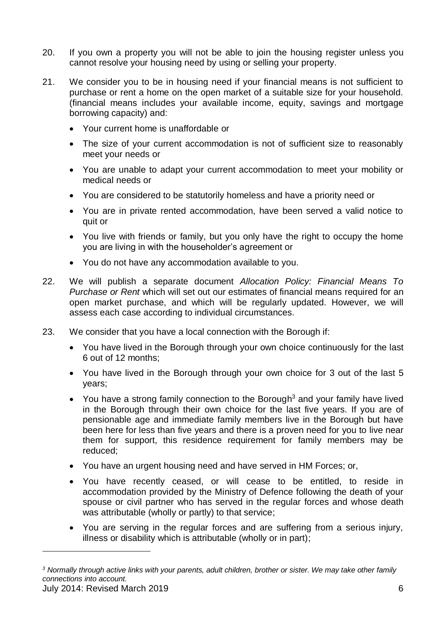- 20. If you own a property you will not be able to join the housing register unless you cannot resolve your housing need by using or selling your property.
- 21. We consider you to be in housing need if your financial means is not sufficient to purchase or rent a home on the open market of a suitable size for your household. (financial means includes your available income, equity, savings and mortgage borrowing capacity) and:
	- Your current home is unaffordable or
	- The size of your current accommodation is not of sufficient size to reasonably meet your needs or
	- You are unable to adapt your current accommodation to meet your mobility or medical needs or
	- You are considered to be statutorily homeless and have a priority need or
	- You are in private rented accommodation, have been served a valid notice to quit or
	- You live with friends or family, but you only have the right to occupy the home you are living in with the householder's agreement or
	- You do not have any accommodation available to you.
- 22. We will publish a separate document *Allocation Policy: Financial Means To Purchase or Rent* which will set out our estimates of financial means required for an open market purchase, and which will be regularly updated. However, we will assess each case according to individual circumstances.
- 23. We consider that you have a local connection with the Borough if:
	- You have lived in the Borough through your own choice continuously for the last 6 out of 12 months;
	- You have lived in the Borough through your own choice for 3 out of the last 5 years;
	- You have a strong family connection to the Borough<sup>3</sup> and your family have lived in the Borough through their own choice for the last five years. If you are of pensionable age and immediate family members live in the Borough but have been here for less than five years and there is a proven need for you to live near them for support, this residence requirement for family members may be reduced;
	- You have an urgent housing need and have served in HM Forces; or,
	- You have recently ceased, or will cease to be entitled, to reside in accommodation provided by the Ministry of Defence following the death of your spouse or civil partner who has served in the regular forces and whose death was attributable (wholly or partly) to that service;
	- You are serving in the regular forces and are suffering from a serious injury, illness or disability which is attributable (wholly or in part);

1

July 2014: Revised March 2019 6 *<sup>3</sup> Normally through active links with your parents, adult children, brother or sister. We may take other family connections into account.*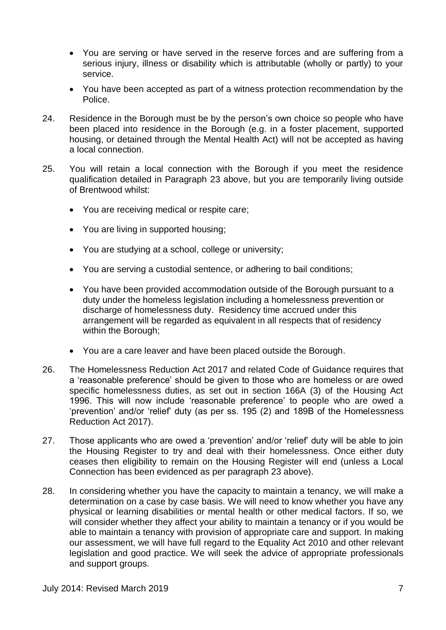- You are serving or have served in the reserve forces and are suffering from a serious injury, illness or disability which is attributable (wholly or partly) to your service.
- You have been accepted as part of a witness protection recommendation by the Police.
- 24. Residence in the Borough must be by the person's own choice so people who have been placed into residence in the Borough (e.g. in a foster placement, supported housing, or detained through the Mental Health Act) will not be accepted as having a local connection.
- 25. You will retain a local connection with the Borough if you meet the residence qualification detailed in Paragraph 23 above, but you are temporarily living outside of Brentwood whilst:
	- You are receiving medical or respite care;
	- You are living in supported housing;
	- You are studying at a school, college or university;
	- You are serving a custodial sentence, or adhering to bail conditions;
	- You have been provided accommodation outside of the Borough pursuant to a duty under the homeless legislation including a homelessness prevention or discharge of homelessness duty. Residency time accrued under this arrangement will be regarded as equivalent in all respects that of residency within the Borough;
	- You are a care leaver and have been placed outside the Borough.
- 26. The Homelessness Reduction Act 2017 and related Code of Guidance requires that a 'reasonable preference' should be given to those who are homeless or are owed specific homelessness duties, as set out in section 166A (3) of the Housing Act 1996. This will now include 'reasonable preference' to people who are owed a 'prevention' and/or 'relief' duty (as per ss. 195 (2) and 189B of the Homelessness Reduction Act 2017).
- 27. Those applicants who are owed a 'prevention' and/or 'relief' duty will be able to join the Housing Register to try and deal with their homelessness. Once either duty ceases then eligibility to remain on the Housing Register will end (unless a Local Connection has been evidenced as per paragraph 23 above).
- 28. In considering whether you have the capacity to maintain a tenancy, we will make a determination on a case by case basis. We will need to know whether you have any physical or learning disabilities or mental health or other medical factors. If so, we will consider whether they affect your ability to maintain a tenancy or if you would be able to maintain a tenancy with provision of appropriate care and support. In making our assessment, we will have full regard to the Equality Act 2010 and other relevant legislation and good practice. We will seek the advice of appropriate professionals and support groups.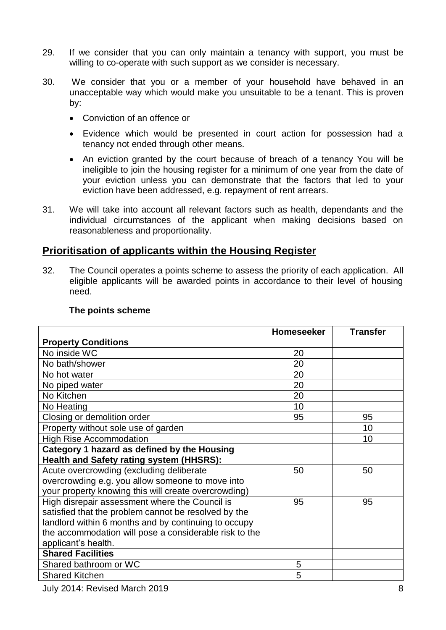- 29. If we consider that you can only maintain a tenancy with support, you must be willing to co-operate with such support as we consider is necessary.
- 30. We consider that you or a member of your household have behaved in an unacceptable way which would make you unsuitable to be a tenant. This is proven by:
	- Conviction of an offence or
	- Evidence which would be presented in court action for possession had a tenancy not ended through other means.
	- An eviction granted by the court because of breach of a tenancy You will be ineligible to join the housing register for a minimum of one year from the date of your eviction unless you can demonstrate that the factors that led to your eviction have been addressed, e.g. repayment of rent arrears.
- 31. We will take into account all relevant factors such as health, dependants and the individual circumstances of the applicant when making decisions based on reasonableness and proportionality.

#### <span id="page-7-0"></span>**Prioritisation of applicants within the Housing Register**

32. The Council operates a points scheme to assess the priority of each application. All eligible applicants will be awarded points in accordance to their level of housing need.

<span id="page-7-1"></span>

|                                                        | <b>Homeseeker</b> | <b>Transfer</b> |
|--------------------------------------------------------|-------------------|-----------------|
| <b>Property Conditions</b>                             |                   |                 |
| No inside WC                                           | 20                |                 |
| No bath/shower                                         | 20                |                 |
| No hot water                                           | 20                |                 |
| No piped water                                         | 20                |                 |
| No Kitchen                                             | 20                |                 |
| No Heating                                             | 10                |                 |
| Closing or demolition order                            | 95                | 95              |
| Property without sole use of garden                    |                   | 10              |
| <b>High Rise Accommodation</b>                         |                   | 10              |
| Category 1 hazard as defined by the Housing            |                   |                 |
| Health and Safety rating system (HHSRS):               |                   |                 |
| Acute overcrowding (excluding deliberate               | 50                | 50              |
| overcrowding e.g. you allow someone to move into       |                   |                 |
| your property knowing this will create overcrowding)   |                   |                 |
| High disrepair assessment where the Council is         | 95                | 95              |
| satisfied that the problem cannot be resolved by the   |                   |                 |
| landlord within 6 months and by continuing to occupy   |                   |                 |
| the accommodation will pose a considerable risk to the |                   |                 |
| applicant's health.                                    |                   |                 |
| <b>Shared Facilities</b>                               |                   |                 |
| Shared bathroom or WC                                  | 5                 |                 |
| <b>Shared Kitchen</b>                                  | 5                 |                 |

#### **The points scheme**

July 2014: Revised March 2019 8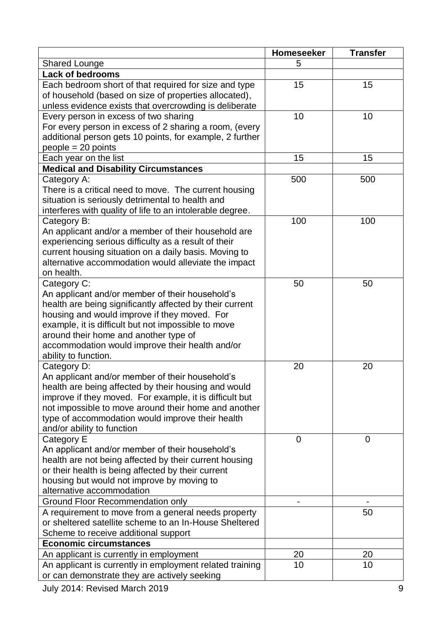|                                                                                                                                                                                                                                                                                                                                                       | Homeseeker | <b>Transfer</b> |
|-------------------------------------------------------------------------------------------------------------------------------------------------------------------------------------------------------------------------------------------------------------------------------------------------------------------------------------------------------|------------|-----------------|
| <b>Shared Lounge</b>                                                                                                                                                                                                                                                                                                                                  | 5          |                 |
| <b>Lack of bedrooms</b>                                                                                                                                                                                                                                                                                                                               |            |                 |
| Each bedroom short of that required for size and type<br>of household (based on size of properties allocated),<br>unless evidence exists that overcrowding is deliberate                                                                                                                                                                              | 15         | 15              |
| Every person in excess of two sharing<br>For every person in excess of 2 sharing a room, (every<br>additional person gets 10 points, for example, 2 further<br>$people = 20 points$                                                                                                                                                                   | 10         | 10              |
| Each year on the list                                                                                                                                                                                                                                                                                                                                 | 15         | 15              |
| <b>Medical and Disability Circumstances</b>                                                                                                                                                                                                                                                                                                           |            |                 |
| Category A:<br>There is a critical need to move. The current housing<br>situation is seriously detrimental to health and<br>interferes with quality of life to an intolerable degree.                                                                                                                                                                 | 500        | 500             |
| Category B:<br>An applicant and/or a member of their household are<br>experiencing serious difficulty as a result of their<br>current housing situation on a daily basis. Moving to<br>alternative accommodation would alleviate the impact<br>on health.                                                                                             | 100        | 100             |
| Category C:<br>An applicant and/or member of their household's<br>health are being significantly affected by their current<br>housing and would improve if they moved. For<br>example, it is difficult but not impossible to move<br>around their home and another type of<br>accommodation would improve their health and/or<br>ability to function. | 50         | 50              |
| Category D:<br>An applicant and/or member of their household's<br>health are being affected by their housing and would<br>improve if they moved. For example, it is difficult but<br>not impossible to move around their home and another<br>type of accommodation would improve their health<br>and/or ability to function                           | 20         | 20              |
| Category E<br>An applicant and/or member of their household's<br>health are not being affected by their current housing<br>or their health is being affected by their current<br>housing but would not improve by moving to<br>alternative accommodation                                                                                              | 0          | $\mathbf 0$     |
| <b>Ground Floor Recommendation only</b>                                                                                                                                                                                                                                                                                                               |            |                 |
| A requirement to move from a general needs property<br>or sheltered satellite scheme to an In-House Sheltered<br>Scheme to receive additional support                                                                                                                                                                                                 |            | 50              |
| <b>Economic circumstances</b>                                                                                                                                                                                                                                                                                                                         |            |                 |
| An applicant is currently in employment                                                                                                                                                                                                                                                                                                               | 20         | 20              |
| An applicant is currently in employment related training<br>or can demonstrate they are actively seeking                                                                                                                                                                                                                                              | 10         | 10              |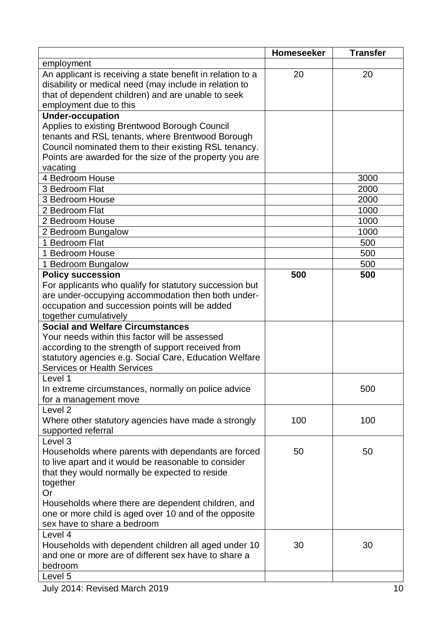|                                                                                                                                                                            | <b>Homeseeker</b> | <b>Transfer</b> |
|----------------------------------------------------------------------------------------------------------------------------------------------------------------------------|-------------------|-----------------|
| employment                                                                                                                                                                 |                   |                 |
| An applicant is receiving a state benefit in relation to a<br>disability or medical need (may include in relation to<br>that of dependent children) and are unable to seek | 20                | 20              |
| employment due to this                                                                                                                                                     |                   |                 |
| <b>Under-occupation</b>                                                                                                                                                    |                   |                 |
| Applies to existing Brentwood Borough Council<br>tenants and RSL tenants, where Brentwood Borough                                                                          |                   |                 |
| Council nominated them to their existing RSL tenancy.                                                                                                                      |                   |                 |
| Points are awarded for the size of the property you are                                                                                                                    |                   |                 |
| vacating                                                                                                                                                                   |                   |                 |
| 4 Bedroom House                                                                                                                                                            |                   | 3000            |
| 3 Bedroom Flat                                                                                                                                                             |                   | 2000            |
| 3 Bedroom House                                                                                                                                                            |                   | 2000            |
| 2 Bedroom Flat                                                                                                                                                             |                   | 1000            |
| 2 Bedroom House                                                                                                                                                            |                   | 1000            |
| 2 Bedroom Bungalow                                                                                                                                                         |                   | 1000            |
| 1 Bedroom Flat                                                                                                                                                             |                   | 500             |
| 1 Bedroom House                                                                                                                                                            |                   | 500             |
| 1 Bedroom Bungalow                                                                                                                                                         |                   | 500             |
| <b>Policy succession</b>                                                                                                                                                   | 500               | 500             |
| For applicants who qualify for statutory succession but                                                                                                                    |                   |                 |
| are under-occupying accommodation then both under-                                                                                                                         |                   |                 |
| occupation and succession points will be added                                                                                                                             |                   |                 |
| together cumulatively                                                                                                                                                      |                   |                 |
| <b>Social and Welfare Circumstances</b>                                                                                                                                    |                   |                 |
| Your needs within this factor will be assessed                                                                                                                             |                   |                 |
| according to the strength of support received from                                                                                                                         |                   |                 |
| statutory agencies e.g. Social Care, Education Welfare<br><b>Services or Health Services</b>                                                                               |                   |                 |
| Level 1                                                                                                                                                                    |                   |                 |
| In extreme circumstances, normally on police advice                                                                                                                        |                   | 500             |
| for a management move                                                                                                                                                      |                   |                 |
| Level <sub>2</sub>                                                                                                                                                         |                   |                 |
| Where other statutory agencies have made a strongly                                                                                                                        | 100               | 100             |
| supported referral                                                                                                                                                         |                   |                 |
| Level 3                                                                                                                                                                    |                   |                 |
| Households where parents with dependants are forced                                                                                                                        | 50                | 50              |
| to live apart and it would be reasonable to consider                                                                                                                       |                   |                 |
| that they would normally be expected to reside                                                                                                                             |                   |                 |
| together                                                                                                                                                                   |                   |                 |
| Or                                                                                                                                                                         |                   |                 |
| Households where there are dependent children, and                                                                                                                         |                   |                 |
| one or more child is aged over 10 and of the opposite                                                                                                                      |                   |                 |
| sex have to share a bedroom                                                                                                                                                |                   |                 |
| Level 4                                                                                                                                                                    |                   |                 |
| Households with dependent children all aged under 10<br>and one or more are of different sex have to share a                                                               | 30                | 30              |
| bedroom                                                                                                                                                                    |                   |                 |
| Level 5                                                                                                                                                                    |                   |                 |
|                                                                                                                                                                            |                   |                 |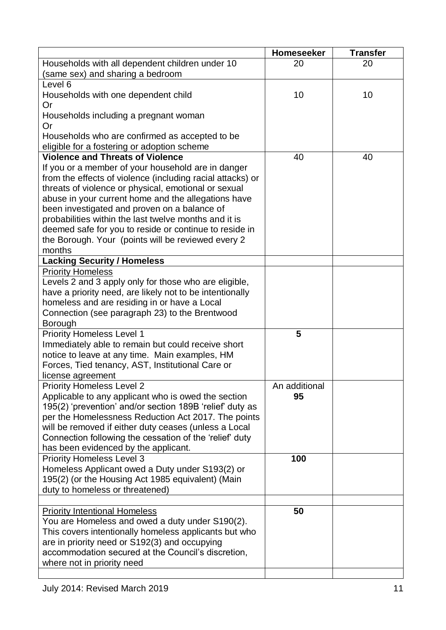|                                                            | Homeseeker    | <b>Transfer</b> |
|------------------------------------------------------------|---------------|-----------------|
| Households with all dependent children under 10            | 20            | 20              |
| (same sex) and sharing a bedroom                           |               |                 |
| Level 6                                                    |               |                 |
| Households with one dependent child                        | 10            | 10              |
| Or                                                         |               |                 |
| Households including a pregnant woman                      |               |                 |
| Or                                                         |               |                 |
| Households who are confirmed as accepted to be             |               |                 |
| eligible for a fostering or adoption scheme                |               |                 |
| <b>Violence and Threats of Violence</b>                    | 40            | 40              |
| If you or a member of your household are in danger         |               |                 |
| from the effects of violence (including racial attacks) or |               |                 |
| threats of violence or physical, emotional or sexual       |               |                 |
| abuse in your current home and the allegations have        |               |                 |
| been investigated and proven on a balance of               |               |                 |
| probabilities within the last twelve months and it is      |               |                 |
| deemed safe for you to reside or continue to reside in     |               |                 |
| the Borough. Your (points will be reviewed every 2         |               |                 |
| months                                                     |               |                 |
| <b>Lacking Security / Homeless</b>                         |               |                 |
| <b>Priority Homeless</b>                                   |               |                 |
| Levels 2 and 3 apply only for those who are eligible,      |               |                 |
| have a priority need, are likely not to be intentionally   |               |                 |
| homeless and are residing in or have a Local               |               |                 |
| Connection (see paragraph 23) to the Brentwood             |               |                 |
| Borough                                                    |               |                 |
| <b>Priority Homeless Level 1</b>                           | 5             |                 |
| Immediately able to remain but could receive short         |               |                 |
| notice to leave at any time. Main examples, HM             |               |                 |
| Forces, Tied tenancy, AST, Institutional Care or           |               |                 |
| license agreement                                          |               |                 |
| <b>Priority Homeless Level 2</b>                           | An additional |                 |
| Applicable to any applicant who is owed the section        | 95            |                 |
| 195(2) 'prevention' and/or section 189B 'relief' duty as   |               |                 |
| per the Homelessness Reduction Act 2017. The points        |               |                 |
| will be removed if either duty ceases (unless a Local      |               |                 |
| Connection following the cessation of the 'relief' duty    |               |                 |
| has been evidenced by the applicant.                       |               |                 |
| <b>Priority Homeless Level 3</b>                           | 100           |                 |
| Homeless Applicant owed a Duty under S193(2) or            |               |                 |
| 195(2) (or the Housing Act 1985 equivalent) (Main          |               |                 |
| duty to homeless or threatened)                            |               |                 |
|                                                            |               |                 |
| <b>Priority Intentional Homeless</b>                       | 50            |                 |
| You are Homeless and owed a duty under S190(2).            |               |                 |
| This covers intentionally homeless applicants but who      |               |                 |
| are in priority need or S192(3) and occupying              |               |                 |
| accommodation secured at the Council's discretion,         |               |                 |
| where not in priority need                                 |               |                 |
|                                                            |               |                 |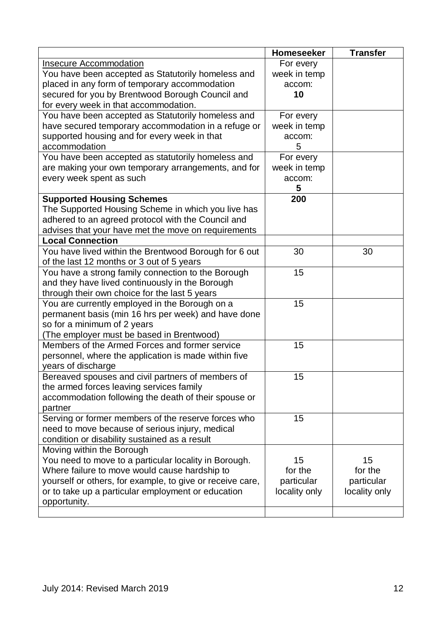<span id="page-11-0"></span>

|                                                           | <b>Homeseeker</b> | <b>Transfer</b> |
|-----------------------------------------------------------|-------------------|-----------------|
| <b>Insecure Accommodation</b>                             | For every         |                 |
| You have been accepted as Statutorily homeless and        | week in temp      |                 |
| placed in any form of temporary accommodation             | accom:            |                 |
| secured for you by Brentwood Borough Council and          | 10                |                 |
| for every week in that accommodation.                     |                   |                 |
| You have been accepted as Statutorily homeless and        | For every         |                 |
| have secured temporary accommodation in a refuge or       | week in temp      |                 |
| supported housing and for every week in that              | accom:            |                 |
| accommodation                                             | 5                 |                 |
| You have been accepted as statutorily homeless and        | For every         |                 |
| are making your own temporary arrangements, and for       | week in temp      |                 |
| every week spent as such                                  | accom:            |                 |
|                                                           | 5                 |                 |
| <b>Supported Housing Schemes</b>                          | 200               |                 |
| The Supported Housing Scheme in which you live has        |                   |                 |
| adhered to an agreed protocol with the Council and        |                   |                 |
| advises that your have met the move on requirements       |                   |                 |
| <b>Local Connection</b>                                   |                   |                 |
| You have lived within the Brentwood Borough for 6 out     | 30                | 30              |
| of the last 12 months or 3 out of 5 years                 |                   |                 |
| You have a strong family connection to the Borough        | 15                |                 |
| and they have lived continuously in the Borough           |                   |                 |
| through their own choice for the last 5 years             |                   |                 |
| You are currently employed in the Borough on a            | 15                |                 |
| permanent basis (min 16 hrs per week) and have done       |                   |                 |
| so for a minimum of 2 years                               |                   |                 |
| (The employer must be based in Brentwood)                 |                   |                 |
| Members of the Armed Forces and former service            | 15                |                 |
| personnel, where the application is made within five      |                   |                 |
| years of discharge                                        |                   |                 |
| Bereaved spouses and civil partners of members of         | 15                |                 |
| the armed forces leaving services family                  |                   |                 |
| accommodation following the death of their spouse or      |                   |                 |
| partner                                                   |                   |                 |
| Serving or former members of the reserve forces who       | 15                |                 |
| need to move because of serious injury, medical           |                   |                 |
| condition or disability sustained as a result             |                   |                 |
| Moving within the Borough                                 |                   |                 |
| You need to move to a particular locality in Borough.     | 15                | 15              |
| Where failure to move would cause hardship to             | for the           | for the         |
| yourself or others, for example, to give or receive care, | particular        | particular      |
| or to take up a particular employment or education        | locality only     | locality only   |
| opportunity.                                              |                   |                 |
|                                                           |                   |                 |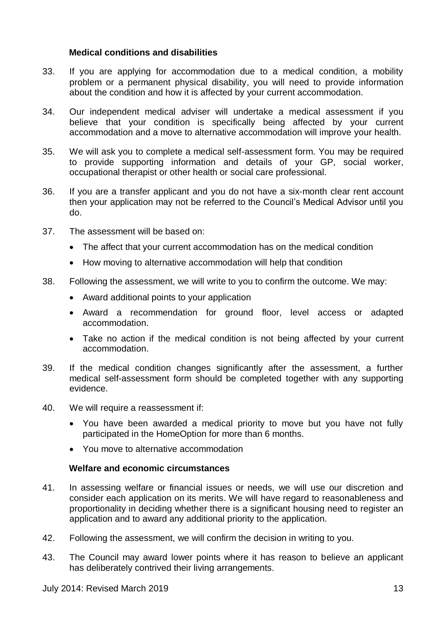#### **Medical conditions and disabilities**

- 33. If you are applying for accommodation due to a medical condition, a mobility problem or a permanent physical disability, you will need to provide information about the condition and how it is affected by your current accommodation.
- 34. Our independent medical adviser will undertake a medical assessment if you believe that your condition is specifically being affected by your current accommodation and a move to alternative accommodation will improve your health.
- 35. We will ask you to complete a medical self-assessment form. You may be required to provide supporting information and details of your GP, social worker, occupational therapist or other health or social care professional.
- 36. If you are a transfer applicant and you do not have a six-month clear rent account then your application may not be referred to the Council's Medical Advisor until you do.
- 37. The assessment will be based on:
	- The affect that your current accommodation has on the medical condition
	- How moving to alternative accommodation will help that condition
- 38. Following the assessment, we will write to you to confirm the outcome. We may:
	- Award additional points to your application
	- Award a recommendation for ground floor, level access or adapted accommodation.
	- Take no action if the medical condition is not being affected by your current accommodation.
- 39. If the medical condition changes significantly after the assessment, a further medical self-assessment form should be completed together with any supporting evidence.
- 40. We will require a reassessment if:
	- You have been awarded a medical priority to move but you have not fully participated in the HomeOption for more than 6 months.
	- You move to alternative accommodation

#### **Welfare and economic circumstances**

- <span id="page-12-0"></span>41. In assessing welfare or financial issues or needs, we will use our discretion and consider each application on its merits. We will have regard to reasonableness and proportionality in deciding whether there is a significant housing need to register an application and to award any additional priority to the application.
- 42. Following the assessment, we will confirm the decision in writing to you.
- 43. The Council may award lower points where it has reason to believe an applicant has deliberately contrived their living arrangements.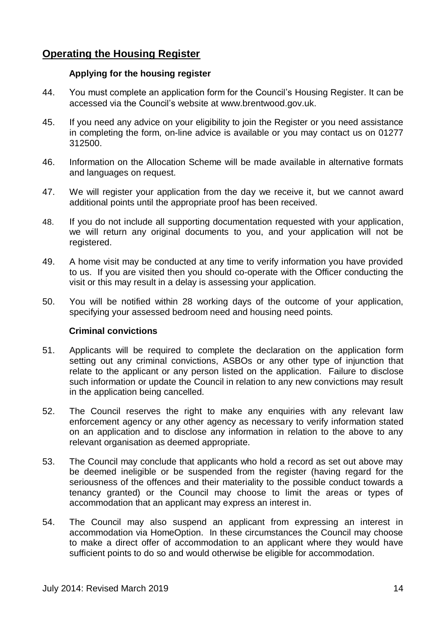### <span id="page-13-1"></span><span id="page-13-0"></span>**Operating the Housing Register**

#### **Applying for the housing register**

- 44. You must complete an application form for the Council's Housing Register. It can be accessed via the Council's website at www.brentwood.gov.uk.
- 45. If you need any advice on your eligibility to join the Register or you need assistance in completing the form, on-line advice is available or you may contact us on 01277 312500.
- 46. Information on the Allocation Scheme will be made available in alternative formats and languages on request.
- 47. We will register your application from the day we receive it, but we cannot award additional points until the appropriate proof has been received.
- 48. If you do not include all supporting documentation requested with your application, we will return any original documents to you, and your application will not be registered.
- 49. A home visit may be conducted at any time to verify information you have provided to us. If you are visited then you should co-operate with the Officer conducting the visit or this may result in a delay is assessing your application.
- <span id="page-13-2"></span>50. You will be notified within 28 working days of the outcome of your application, specifying your assessed bedroom need and housing need points.

#### **Criminal convictions**

- 51. Applicants will be required to complete the declaration on the application form setting out any criminal convictions, ASBOs or any other type of injunction that relate to the applicant or any person listed on the application. Failure to disclose such information or update the Council in relation to any new convictions may result in the application being cancelled.
- 52. The Council reserves the right to make any enquiries with any relevant law enforcement agency or any other agency as necessary to verify information stated on an application and to disclose any information in relation to the above to any relevant organisation as deemed appropriate.
- 53. The Council may conclude that applicants who hold a record as set out above may be deemed ineligible or be suspended from the register (having regard for the seriousness of the offences and their materiality to the possible conduct towards a tenancy granted) or the Council may choose to limit the areas or types of accommodation that an applicant may express an interest in.
- 54. The Council may also suspend an applicant from expressing an interest in accommodation via HomeOption. In these circumstances the Council may choose to make a direct offer of accommodation to an applicant where they would have sufficient points to do so and would otherwise be eligible for accommodation.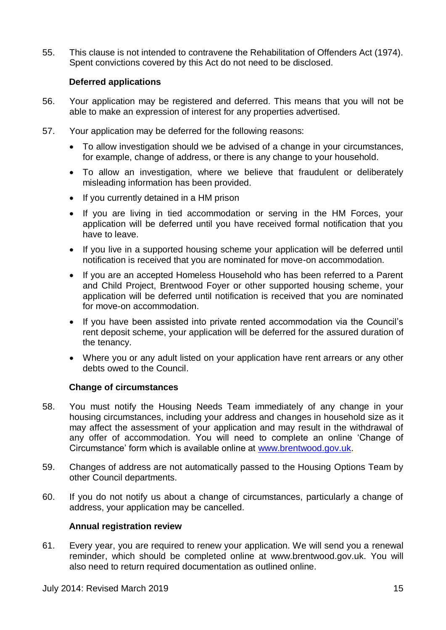<span id="page-14-0"></span>55. This clause is not intended to contravene the Rehabilitation of Offenders Act (1974). Spent convictions covered by this Act do not need to be disclosed.

#### **Deferred applications**

- 56. Your application may be registered and deferred. This means that you will not be able to make an expression of interest for any properties advertised.
- 57. Your application may be deferred for the following reasons:
	- To allow investigation should we be advised of a change in your circumstances, for example, change of address, or there is any change to your household.
	- To allow an investigation, where we believe that fraudulent or deliberately misleading information has been provided.
	- If you currently detained in a HM prison
	- If you are living in tied accommodation or serving in the HM Forces, your application will be deferred until you have received formal notification that you have to leave.
	- If you live in a supported housing scheme your application will be deferred until notification is received that you are nominated for move-on accommodation.
	- If you are an accepted Homeless Household who has been referred to a Parent and Child Project, Brentwood Foyer or other supported housing scheme, your application will be deferred until notification is received that you are nominated for move-on accommodation.
	- If you have been assisted into private rented accommodation via the Council's rent deposit scheme, your application will be deferred for the assured duration of the tenancy.
	- Where you or any adult listed on your application have rent arrears or any other debts owed to the Council.

#### **Change of circumstances**

- <span id="page-14-1"></span>58. You must notify the Housing Needs Team immediately of any change in your housing circumstances, including your address and changes in household size as it may affect the assessment of your application and may result in the withdrawal of any offer of accommodation. You will need to complete an online 'Change of Circumstance' form which is available online at [www.brentwood.gov.uk.](http://www.brentwood.gov.uk/)
- 59. Changes of address are not automatically passed to the Housing Options Team by other Council departments.
- <span id="page-14-2"></span>60. If you do not notify us about a change of circumstances, particularly a change of address, your application may be cancelled.

#### **Annual registration review**

61. Every year, you are required to renew your application. We will send you a renewal reminder, which should be completed online at www.brentwood.gov.uk. You will also need to return required documentation as outlined online.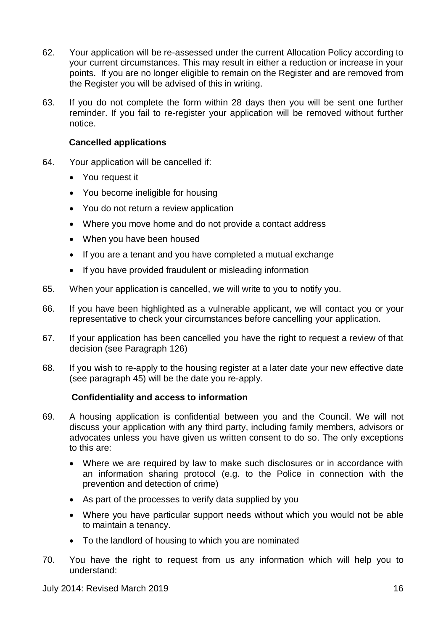- 62. Your application will be re-assessed under the current Allocation Policy according to your current circumstances. This may result in either a reduction or increase in your points. If you are no longer eligible to remain on the Register and are removed from the Register you will be advised of this in writing.
- 63. If you do not complete the form within 28 days then you will be sent one further reminder. If you fail to re-register your application will be removed without further notice.

#### **Cancelled applications**

- <span id="page-15-0"></span>64. Your application will be cancelled if:
	- You request it
	- You become ineligible for housing
	- You do not return a review application
	- Where you move home and do not provide a contact address
	- When you have been housed
	- If you are a tenant and you have completed a mutual exchange
	- If you have provided fraudulent or misleading information
- 65. When your application is cancelled, we will write to you to notify you.
- 66. If you have been highlighted as a vulnerable applicant, we will contact you or your representative to check your circumstances before cancelling your application.
- 67. If your application has been cancelled you have the right to request a review of that decision (see Paragraph 126)
- 68. If you wish to re-apply to the housing register at a later date your new effective date (see paragraph 45) will be the date you re-apply.

#### <span id="page-15-1"></span>**Confidentiality and access to information**

- 69. A housing application is confidential between you and the Council. We will not discuss your application with any third party, including family members, advisors or advocates unless you have given us written consent to do so. The only exceptions to this are:
	- Where we are required by law to make such disclosures or in accordance with an information sharing protocol (e.g. to the Police in connection with the prevention and detection of crime)
	- As part of the processes to verify data supplied by you
	- Where you have particular support needs without which you would not be able to maintain a tenancy.
	- To the landlord of housing to which you are nominated
- 70. You have the right to request from us any information which will help you to understand: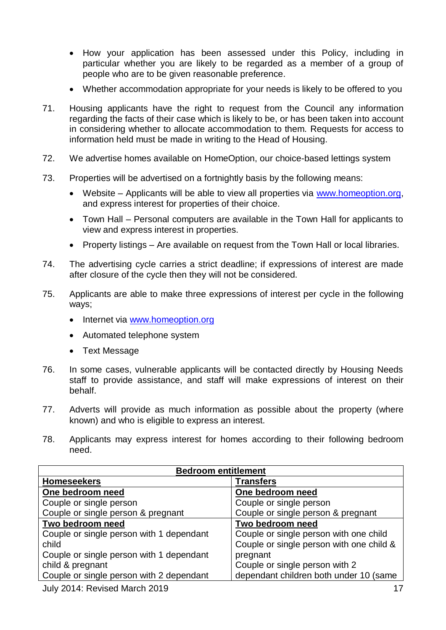- How your application has been assessed under this Policy, including in particular whether you are likely to be regarded as a member of a group of people who are to be given reasonable preference.
- Whether accommodation appropriate for your needs is likely to be offered to you
- 71. Housing applicants have the right to request from the Council any information regarding the facts of their case which is likely to be, or has been taken into account in considering whether to allocate accommodation to them. Requests for access to information held must be made in writing to the Head of Housing.
- 72. We advertise homes available on HomeOption, our choice-based lettings system
- 73. Properties will be advertised on a fortnightly basis by the following means:
	- Website Applicants will be able to view all properties via www.homeoption.org. and express interest for properties of their choice.
	- Town Hall Personal computers are available in the Town Hall for applicants to view and express interest in properties.
	- Property listings Are available on request from the Town Hall or local libraries.
- 74. The advertising cycle carries a strict deadline; if expressions of interest are made after closure of the cycle then they will not be considered.
- 75. Applicants are able to make three expressions of interest per cycle in the following ways;
	- Internet via [www.homeoption.org](http://www.homeoption.org/)
	- Automated telephone system
	- Text Message
- 76. In some cases, vulnerable applicants will be contacted directly by Housing Needs staff to provide assistance, and staff will make expressions of interest on their behalf.
- 77. Adverts will provide as much information as possible about the property (where known) and who is eligible to express an interest.
- 78. Applicants may express interest for homes according to their following bedroom need.

| <b>Bedroom entitlement</b>                        |                                                                                    |  |
|---------------------------------------------------|------------------------------------------------------------------------------------|--|
| <b>Homeseekers</b>                                | <b>Transfers</b>                                                                   |  |
| One bedroom need                                  | One bedroom need                                                                   |  |
| Couple or single person                           | Couple or single person                                                            |  |
| Couple or single person & pregnant                | Couple or single person & pregnant                                                 |  |
| Two bedroom need                                  | Two bedroom need                                                                   |  |
| Couple or single person with 1 dependant<br>child | Couple or single person with one child<br>Couple or single person with one child & |  |
| Couple or single person with 1 dependant          | pregnant                                                                           |  |
| child & pregnant                                  | Couple or single person with 2                                                     |  |
| Couple or single person with 2 dependant          | dependant children both under 10 (same                                             |  |
|                                                   |                                                                                    |  |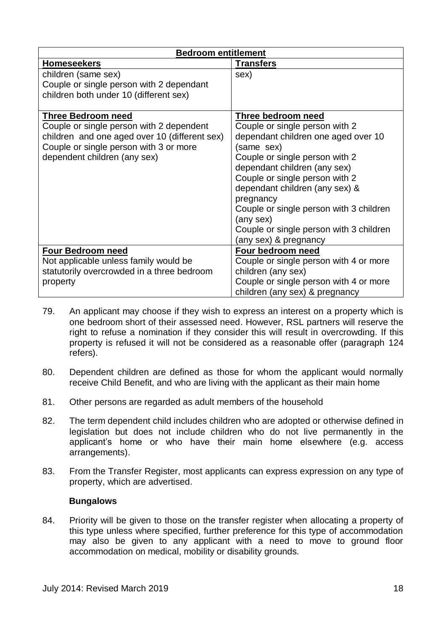| <b>Bedroom entitlement</b>                    |                                         |  |
|-----------------------------------------------|-----------------------------------------|--|
| <b>Homeseekers</b>                            | <b>Transfers</b>                        |  |
| children (same sex)                           | sex)                                    |  |
| Couple or single person with 2 dependant      |                                         |  |
| children both under 10 (different sex)        |                                         |  |
|                                               |                                         |  |
| <b>Three Bedroom need</b>                     | <b>Three bedroom need</b>               |  |
| Couple or single person with 2 dependent      | Couple or single person with 2          |  |
| children and one aged over 10 (different sex) | dependant children one aged over 10     |  |
| Couple or single person with 3 or more        | (same sex)                              |  |
| dependent children (any sex)                  | Couple or single person with 2          |  |
|                                               | dependant children (any sex)            |  |
|                                               | Couple or single person with 2          |  |
|                                               | dependant children (any sex) &          |  |
|                                               | pregnancy                               |  |
|                                               | Couple or single person with 3 children |  |
|                                               | (any sex)                               |  |
|                                               | Couple or single person with 3 children |  |
|                                               | (any sex) & pregnancy                   |  |
| <b>Four Bedroom need</b>                      | Four bedroom need                       |  |
| Not applicable unless family would be         | Couple or single person with 4 or more  |  |
| statutorily overcrowded in a three bedroom    | children (any sex)                      |  |
| property                                      | Couple or single person with 4 or more  |  |
|                                               | children (any sex) & pregnancy          |  |

- 79. An applicant may choose if they wish to express an interest on a property which is one bedroom short of their assessed need. However, RSL partners will reserve the right to refuse a nomination if they consider this will result in overcrowding. If this property is refused it will not be considered as a reasonable offer (paragraph 124 refers).
- 80. Dependent children are defined as those for whom the applicant would normally receive Child Benefit, and who are living with the applicant as their main home
- 81. Other persons are regarded as adult members of the household
- 82. The term dependent child includes children who are adopted or otherwise defined in legislation but does not include children who do not live permanently in the applicant's home or who have their main home elsewhere (e.g. access arrangements).
- <span id="page-17-0"></span>83. From the Transfer Register, most applicants can express expression on any type of property, which are advertised.

#### **Bungalows**

<span id="page-17-1"></span>84. Priority will be given to those on the transfer register when allocating a property of this type unless where specified, further preference for this type of accommodation may also be given to any applicant with a need to move to ground floor accommodation on medical, mobility or disability grounds.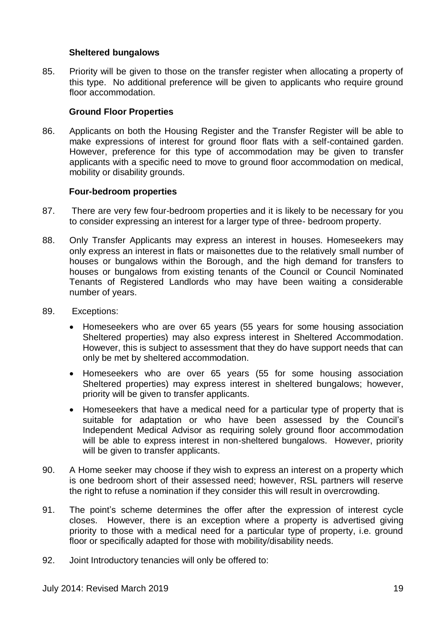#### **Sheltered bungalows**

85. Priority will be given to those on the transfer register when allocating a property of this type. No additional preference will be given to applicants who require ground floor accommodation.

#### **Ground Floor Properties**

<span id="page-18-0"></span>86. Applicants on both the Housing Register and the Transfer Register will be able to make expressions of interest for ground floor flats with a self-contained garden. However, preference for this type of accommodation may be given to transfer applicants with a specific need to move to ground floor accommodation on medical, mobility or disability grounds.

#### **Four-bedroom properties**

- <span id="page-18-1"></span>87. There are very few four-bedroom properties and it is likely to be necessary for you to consider expressing an interest for a larger type of three- bedroom property.
- 88. Only Transfer Applicants may express an interest in houses. Homeseekers may only express an interest in flats or maisonettes due to the relatively small number of houses or bungalows within the Borough, and the high demand for transfers to houses or bungalows from existing tenants of the Council or Council Nominated Tenants of Registered Landlords who may have been waiting a considerable number of years.
- 89. Exceptions:
	- Homeseekers who are over 65 years (55 years for some housing association Sheltered properties) may also express interest in Sheltered Accommodation. However, this is subject to assessment that they do have support needs that can only be met by sheltered accommodation.
	- Homeseekers who are over 65 years (55 for some housing association Sheltered properties) may express interest in sheltered bungalows; however, priority will be given to transfer applicants.
	- Homeseekers that have a medical need for a particular type of property that is suitable for adaptation or who have been assessed by the Council's Independent Medical Advisor as requiring solely ground floor accommodation will be able to express interest in non-sheltered bungalows. However, priority will be given to transfer applicants.
- 90. A Home seeker may choose if they wish to express an interest on a property which is one bedroom short of their assessed need; however, RSL partners will reserve the right to refuse a nomination if they consider this will result in overcrowding.
- 91. The point's scheme determines the offer after the expression of interest cycle closes. However, there is an exception where a property is advertised giving priority to those with a medical need for a particular type of property, i.e. ground floor or specifically adapted for those with mobility/disability needs.
- 92. Joint Introductory tenancies will only be offered to: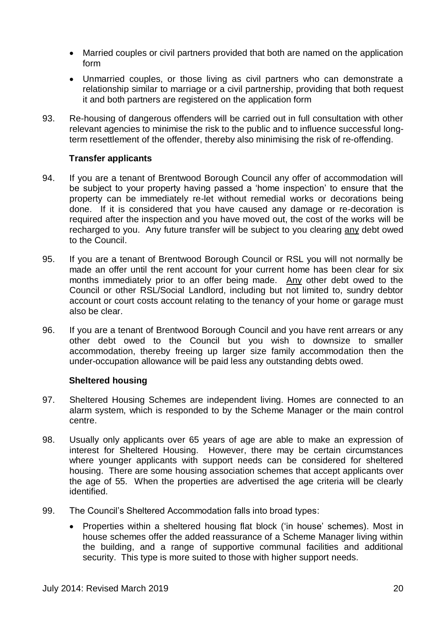- Married couples or civil partners provided that both are named on the application form
- Unmarried couples, or those living as civil partners who can demonstrate a relationship similar to marriage or a civil partnership, providing that both request it and both partners are registered on the application form
- 93. Re-housing of dangerous offenders will be carried out in full consultation with other relevant agencies to minimise the risk to the public and to influence successful longterm resettlement of the offender, thereby also minimising the risk of re-offending.

#### **Transfer applicants**

- <span id="page-19-0"></span>94. If you are a tenant of Brentwood Borough Council any offer of accommodation will be subject to your property having passed a 'home inspection' to ensure that the property can be immediately re-let without remedial works or decorations being done. If it is considered that you have caused any damage or re-decoration is required after the inspection and you have moved out, the cost of the works will be recharged to you. Any future transfer will be subject to you clearing any debt owed to the Council.
- 95. If you are a tenant of Brentwood Borough Council or RSL you will not normally be made an offer until the rent account for your current home has been clear for six months immediately prior to an offer being made. Any other debt owed to the Council or other RSL/Social Landlord, including but not limited to, sundry debtor account or court costs account relating to the tenancy of your home or garage must also be clear.
- 96. If you are a tenant of Brentwood Borough Council and you have rent arrears or any other debt owed to the Council but you wish to downsize to smaller accommodation, thereby freeing up larger size family accommodation then the under-occupation allowance will be paid less any outstanding debts owed.

#### **Sheltered housing**

- <span id="page-19-1"></span>97. Sheltered Housing Schemes are independent living. Homes are connected to an alarm system, which is responded to by the Scheme Manager or the main control centre.
- 98. Usually only applicants over 65 years of age are able to make an expression of interest for Sheltered Housing. However, there may be certain circumstances where younger applicants with support needs can be considered for sheltered housing. There are some housing association schemes that accept applicants over the age of 55. When the properties are advertised the age criteria will be clearly identified.
- 99. The Council's Sheltered Accommodation falls into broad types:
	- Properties within a sheltered housing flat block ('in house' schemes). Most in house schemes offer the added reassurance of a Scheme Manager living within the building, and a range of supportive communal facilities and additional security. This type is more suited to those with higher support needs.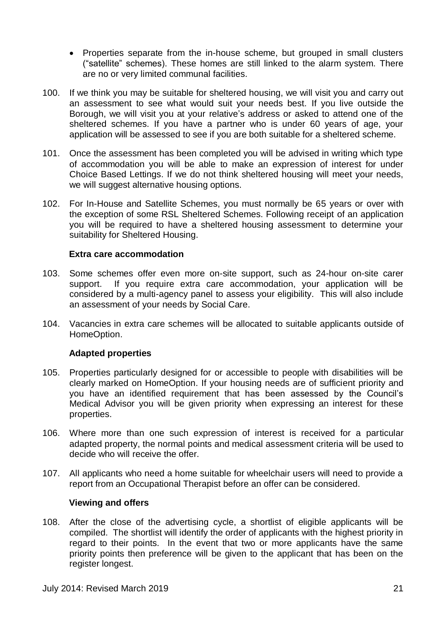- Properties separate from the in-house scheme, but grouped in small clusters ("satellite" schemes). These homes are still linked to the alarm system. There are no or very limited communal facilities.
- 100. If we think you may be suitable for sheltered housing, we will visit you and carry out an assessment to see what would suit your needs best. If you live outside the Borough, we will visit you at your relative's address or asked to attend one of the sheltered schemes. If you have a partner who is under 60 years of age, your application will be assessed to see if you are both suitable for a sheltered scheme.
- 101. Once the assessment has been completed you will be advised in writing which type of accommodation you will be able to make an expression of interest for under Choice Based Lettings. If we do not think sheltered housing will meet your needs, we will suggest alternative housing options.
- 102. For In-House and Satellite Schemes, you must normally be 65 years or over with the exception of some RSL Sheltered Schemes. Following receipt of an application you will be required to have a sheltered housing assessment to determine your suitability for Sheltered Housing.

#### **Extra care accommodation**

- <span id="page-20-0"></span>103. Some schemes offer even more on-site support, such as 24-hour on-site carer support. If you require extra care accommodation, your application will be considered by a multi-agency panel to assess your eligibility. This will also include an assessment of your needs by Social Care.
- <span id="page-20-1"></span>104. Vacancies in extra care schemes will be allocated to suitable applicants outside of HomeOption.

#### **Adapted properties**

- 105. Properties particularly designed for or accessible to people with disabilities will be clearly marked on HomeOption. If your housing needs are of sufficient priority and you have an identified requirement that has been assessed by the Council's Medical Advisor you will be given priority when expressing an interest for these properties.
- 106. Where more than one such expression of interest is received for a particular adapted property, the normal points and medical assessment criteria will be used to decide who will receive the offer.
- <span id="page-20-2"></span>107. All applicants who need a home suitable for wheelchair users will need to provide a report from an Occupational Therapist before an offer can be considered.

#### **Viewing and offers**

108. After the close of the advertising cycle, a shortlist of eligible applicants will be compiled. The shortlist will identify the order of applicants with the highest priority in regard to their points. In the event that two or more applicants have the same priority points then preference will be given to the applicant that has been on the register longest.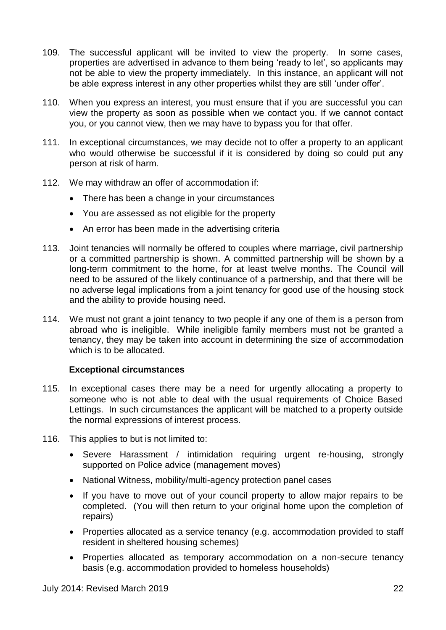- 109. The successful applicant will be invited to view the property. In some cases, properties are advertised in advance to them being 'ready to let', so applicants may not be able to view the property immediately. In this instance, an applicant will not be able express interest in any other properties whilst they are still 'under offer'.
- 110. When you express an interest, you must ensure that if you are successful you can view the property as soon as possible when we contact you. If we cannot contact you, or you cannot view, then we may have to bypass you for that offer.
- 111. In exceptional circumstances, we may decide not to offer a property to an applicant who would otherwise be successful if it is considered by doing so could put any person at risk of harm.
- 112. We may withdraw an offer of accommodation if:
	- There has been a change in your circumstances
	- You are assessed as not eligible for the property
	- An error has been made in the advertising criteria
- 113. Joint tenancies will normally be offered to couples where marriage, civil partnership or a committed partnership is shown. A committed partnership will be shown by a long-term commitment to the home, for at least twelve months. The Council will need to be assured of the likely continuance of a partnership, and that there will be no adverse legal implications from a joint tenancy for good use of the housing stock and the ability to provide housing need.
- 114. We must not grant a joint tenancy to two people if any one of them is a person from abroad who is ineligible. While ineligible family members must not be granted a tenancy, they may be taken into account in determining the size of accommodation which is to be allocated.

#### **Exceptional circumsta**n**ces**

- <span id="page-21-0"></span>115. In exceptional cases there may be a need for urgently allocating a property to someone who is not able to deal with the usual requirements of Choice Based Lettings. In such circumstances the applicant will be matched to a property outside the normal expressions of interest process.
- 116. This applies to but is not limited to:
	- Severe Harassment / intimidation requiring urgent re-housing, strongly supported on Police advice (management moves)
	- National Witness, mobility/multi-agency protection panel cases
	- If you have to move out of your council property to allow major repairs to be completed. (You will then return to your original home upon the completion of repairs)
	- Properties allocated as a service tenancy (e.g. accommodation provided to staff resident in sheltered housing schemes)
	- Properties allocated as temporary accommodation on a non-secure tenancy basis (e.g. accommodation provided to homeless households)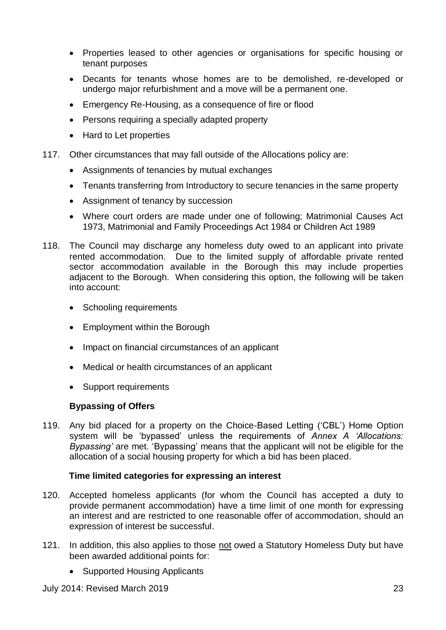- Properties leased to other agencies or organisations for specific housing or tenant purposes
- Decants for tenants whose homes are to be demolished, re-developed or undergo major refurbishment and a move will be a permanent one.
- Emergency Re-Housing, as a consequence of fire or flood
- Persons requiring a specially adapted property
- Hard to Let properties
- 117. Other circumstances that may fall outside of the Allocations policy are:
	- Assignments of tenancies by mutual exchanges
	- Tenants transferring from Introductory to secure tenancies in the same property
	- Assignment of tenancy by succession
	- Where court orders are made under one of following; Matrimonial Causes Act 1973, Matrimonial and Family Proceedings Act 1984 or Children Act 1989
- 118. The Council may discharge any homeless duty owed to an applicant into private rented accommodation. Due to the limited supply of affordable private rented sector accommodation available in the Borough this may include properties adjacent to the Borough. When considering this option, the following will be taken into account:
	- Schooling requirements
	- Employment within the Borough
	- Impact on financial circumstances of an applicant
	- Medical or health circumstances of an applicant
	- Support requirements

#### **Bypassing of Offers**

119. Any bid placed for a property on the Choice-Based Letting ('CBL') Home Option system will be 'bypassed' unless the requirements of *Annex A 'Allocations: Bypassing'* are met. 'Bypassing' means that the applicant will not be eligible for the allocation of a social housing property for which a bid has been placed.

#### **Time limited categories for expressing an interest**

- <span id="page-22-0"></span>120. Accepted homeless applicants (for whom the Council has accepted a duty to provide permanent accommodation) have a time limit of one month for expressing an interest and are restricted to one reasonable offer of accommodation, should an expression of interest be successful.
- 121. In addition, this also applies to those not owed a Statutory Homeless Duty but have been awarded additional points for:
	- Supported Housing Applicants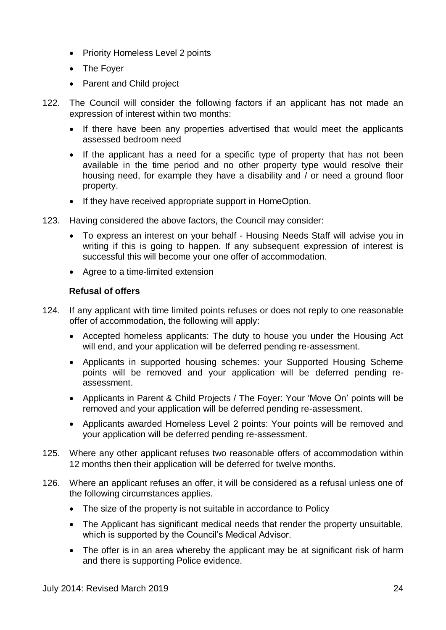- Priority Homeless Level 2 points
- The Foyer
- Parent and Child project
- 122. The Council will consider the following factors if an applicant has not made an expression of interest within two months:
	- If there have been any properties advertised that would meet the applicants assessed bedroom need
	- If the applicant has a need for a specific type of property that has not been available in the time period and no other property type would resolve their housing need, for example they have a disability and / or need a ground floor property.
	- If they have received appropriate support in HomeOption.
- 123. Having considered the above factors, the Council may consider:
	- To express an interest on your behalf Housing Needs Staff will advise you in writing if this is going to happen. If any subsequent expression of interest is successful this will become your one offer of accommodation.
	- Agree to a time-limited extension

#### **Refusal of offers**

- <span id="page-23-0"></span>124. If any applicant with time limited points refuses or does not reply to one reasonable offer of accommodation, the following will apply:
	- Accepted homeless applicants: The duty to house you under the Housing Act will end, and your application will be deferred pending re-assessment.
	- Applicants in supported housing schemes: your Supported Housing Scheme points will be removed and your application will be deferred pending reassessment.
	- Applicants in Parent & Child Projects / The Foyer: Your 'Move On' points will be removed and your application will be deferred pending re-assessment.
	- Applicants awarded Homeless Level 2 points: Your points will be removed and your application will be deferred pending re-assessment.
- 125. Where any other applicant refuses two reasonable offers of accommodation within 12 months then their application will be deferred for twelve months.
- 126. Where an applicant refuses an offer, it will be considered as a refusal unless one of the following circumstances applies.
	- The size of the property is not suitable in accordance to Policy
	- The Applicant has significant medical needs that render the property unsuitable, which is supported by the Council's Medical Advisor.
	- The offer is in an area whereby the applicant may be at significant risk of harm and there is supporting Police evidence.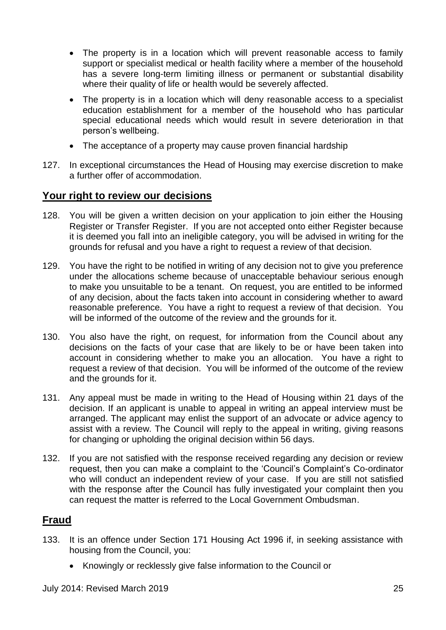- The property is in a location which will prevent reasonable access to family support or specialist medical or health facility where a member of the household has a severe long-term limiting illness or permanent or substantial disability where their quality of life or health would be severely affected.
- The property is in a location which will deny reasonable access to a specialist education establishment for a member of the household who has particular special educational needs which would result in severe deterioration in that person's wellbeing.
- The acceptance of a property may cause proven financial hardship
- 127. In exceptional circumstances the Head of Housing may exercise discretion to make a further offer of accommodation.

#### <span id="page-24-0"></span>**Your right to review our decisions**

- 128. You will be given a written decision on your application to join either the Housing Register or Transfer Register. If you are not accepted onto either Register because it is deemed you fall into an ineligible category, you will be advised in writing for the grounds for refusal and you have a right to request a review of that decision.
- 129. You have the right to be notified in writing of any decision not to give you preference under the allocations scheme because of unacceptable behaviour serious enough to make you unsuitable to be a tenant. On request, you are entitled to be informed of any decision, about the facts taken into account in considering whether to award reasonable preference. You have a right to request a review of that decision. You will be informed of the outcome of the review and the grounds for it.
- 130. You also have the right, on request, for information from the Council about any decisions on the facts of your case that are likely to be or have been taken into account in considering whether to make you an allocation. You have a right to request a review of that decision. You will be informed of the outcome of the review and the grounds for it.
- 131. Any appeal must be made in writing to the Head of Housing within 21 days of the decision. If an applicant is unable to appeal in writing an appeal interview must be arranged. The applicant may enlist the support of an advocate or advice agency to assist with a review. The Council will reply to the appeal in writing, giving reasons for changing or upholding the original decision within 56 days.
- 132. If you are not satisfied with the response received regarding any decision or review request, then you can make a complaint to the 'Council's Complaint's Co-ordinator who will conduct an independent review of your case. If you are still not satisfied with the response after the Council has fully investigated your complaint then you can request the matter is referred to the Local Government Ombudsman.

#### <span id="page-24-1"></span>**Fraud**

- 133. It is an offence under Section 171 Housing Act 1996 if, in seeking assistance with housing from the Council, you:
	- Knowingly or recklessly give false information to the Council or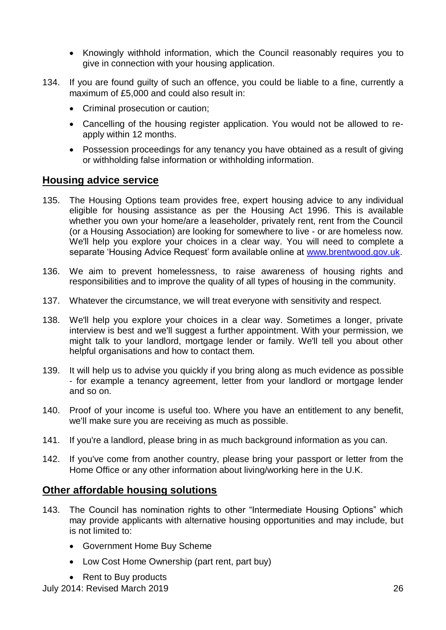- Knowingly withhold information, which the Council reasonably requires you to give in connection with your housing application.
- 134. If you are found guilty of such an offence, you could be liable to a fine, currently a maximum of £5,000 and could also result in:
	- Criminal prosecution or caution;
	- Cancelling of the housing register application. You would not be allowed to reapply within 12 months.
	- Possession proceedings for any tenancy you have obtained as a result of giving or withholding false information or withholding information.

#### <span id="page-25-0"></span>**Housing advice service**

- 135. The Housing Options team provides free, expert housing advice to any individual eligible for housing assistance as per the Housing Act 1996. This is available whether you own your home/are a leaseholder, privately rent, rent from the Council (or a Housing Association) are looking for somewhere to live - or are homeless now. We'll help you explore your choices in a clear way. You will need to complete a separate 'Housing Advice Request' form available online at [www.brentwood.gov.uk.](http://www.brentwood.gov.uk/)
- 136. We aim to prevent homelessness, to raise awareness of housing rights and responsibilities and to improve the quality of all types of housing in the community.
- 137. Whatever the circumstance, we will treat everyone with sensitivity and respect.
- 138. We'll help you explore your choices in a clear way. Sometimes a longer, private interview is best and we'll suggest a further appointment. With your permission, we might talk to your landlord, mortgage lender or family. We'll tell you about other helpful organisations and how to contact them.
- 139. It will help us to advise you quickly if you bring along as much evidence as possible - for example a tenancy agreement, letter from your landlord or mortgage lender and so on.
- 140. Proof of your income is useful too. Where you have an entitlement to any benefit, we'll make sure you are receiving as much as possible.
- 141. If you're a landlord, please bring in as much background information as you can.
- 142. If you've come from another country, please bring your passport or letter from the Home Office or any other information about living/working here in the U.K.

#### <span id="page-25-1"></span>**Other affordable housing solutions**

- 143. The Council has nomination rights to other "Intermediate Housing Options" which may provide applicants with alternative housing opportunities and may include, but is not limited to:
	- Government Home Buy Scheme
	- Low Cost Home Ownership (part rent, part buy)
	- Rent to Buy products

July 2014: Revised March 2019 26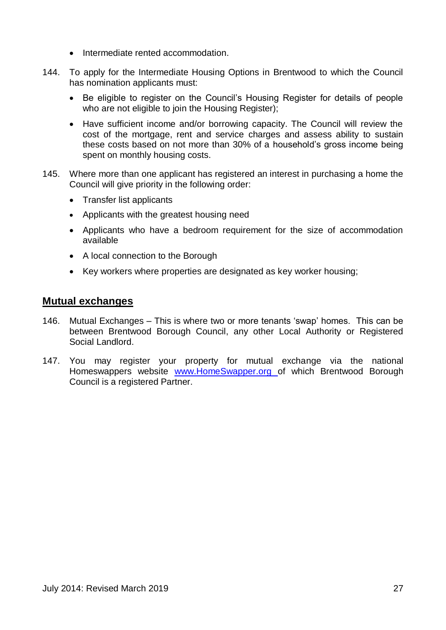- Intermediate rented accommodation.
- 144. To apply for the Intermediate Housing Options in Brentwood to which the Council has nomination applicants must:
	- Be eligible to register on the Council's Housing Register for details of people who are not eligible to join the Housing Register);
	- Have sufficient income and/or borrowing capacity. The Council will review the cost of the mortgage, rent and service charges and assess ability to sustain these costs based on not more than 30% of a household's gross income being spent on monthly housing costs.
- 145. Where more than one applicant has registered an interest in purchasing a home the Council will give priority in the following order:
	- Transfer list applicants
	- Applicants with the greatest housing need
	- Applicants who have a bedroom requirement for the size of accommodation available
	- A local connection to the Borough
	- Key workers where properties are designated as key worker housing;

#### <span id="page-26-0"></span>**Mutual exchanges**

- 146. Mutual Exchanges This is where two or more tenants 'swap' homes. This can be between Brentwood Borough Council, any other Local Authority or Registered Social Landlord.
- 147. You may register your property for mutual exchange via the national Homeswappers website [www.HomeSwapper.org](http://www.homeswapper.org/) of which Brentwood Borough Council is a registered Partner.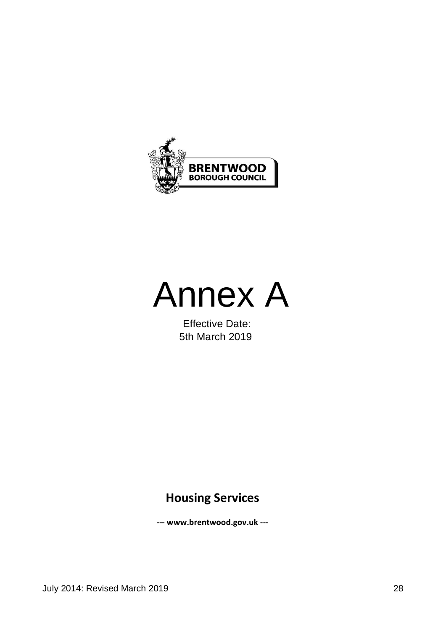



Effective Date: 5th March 2019

## **Housing Services**

**--- www.brentwood.gov.uk ---**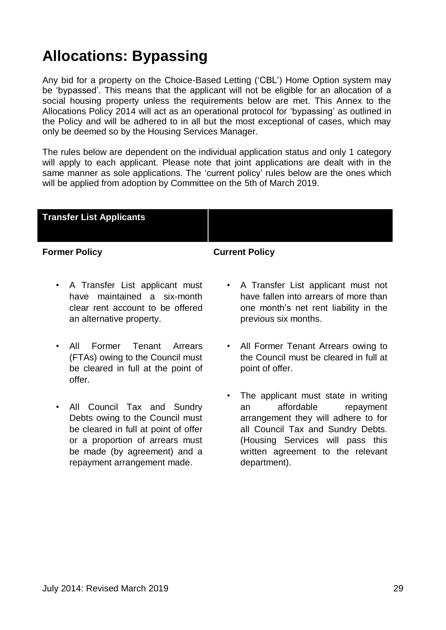## **Allocations: Bypassing**

Any bid for a property on the Choice-Based Letting ('CBL') Home Option system may be 'bypassed'. This means that the applicant will not be eligible for an allocation of a social housing property unless the requirements below are met. This Annex to the Allocations Policy 2014 will act as an operational protocol for 'bypassing' as outlined in the Policy and will be adhered to in all but the most exceptional of cases, which may only be deemed so by the Housing Services Manager.

The rules below are dependent on the individual application status and only 1 category will apply to each applicant. Please note that joint applications are dealt with in the same manner as sole applications. The 'current policy' rules below are the ones which will be applied from adoption by Committee on the 5th of March 2019.

| <b>Transfer List Applicants</b> |  |
|---------------------------------|--|
|                                 |  |
|                                 |  |

#### **Former Policy Current Policy**

- A Transfer List applicant must have maintained a six-month clear rent account to be offered an alternative property.
- All Former Tenant Arrears (FTAs) owing to the Council must be cleared in full at the point of offer.
- All Council Tax and Sundry Debts owing to the Council must be cleared in full at point of offer or a proportion of arrears must be made (by agreement) and a repayment arrangement made.
- A Transfer List applicant must not have fallen into arrears of more than one month's net rent liability in the previous six months.
- All Former Tenant Arrears owing to the Council must be cleared in full at point of offer.
- The applicant must state in writing an affordable repayment arrangement they will adhere to for all Council Tax and Sundry Debts. (Housing Services will pass this written agreement to the relevant department).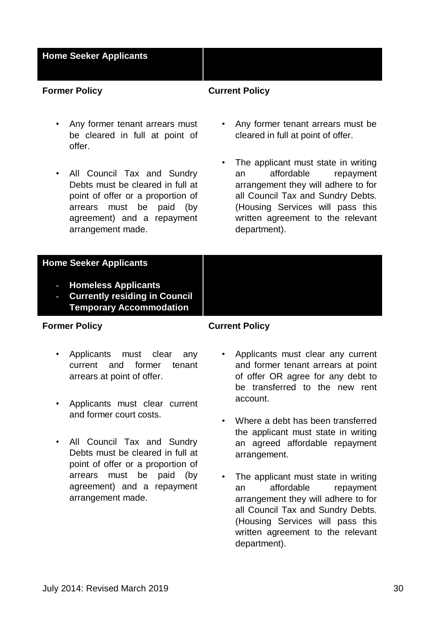#### **Home Seeker Applicants**

#### **Former Policy Current Policy**

- Any former tenant arrears must be cleared in full at point of offer.
- All Council Tax and Sundry Debts must be cleared in full at point of offer or a proportion of arrears must be paid (by agreement) and a repayment arrangement made.
- Any former tenant arrears must be cleared in full at point of offer.
- The applicant must state in writing an affordable repayment arrangement they will adhere to for all Council Tax and Sundry Debts. (Housing Services will pass this written agreement to the relevant department).

#### **Home Seeker Applicants**

- **Homeless Applicants**
- **Currently residing in Council Temporary Accommodation**

#### **Former Policy Current Policy**

- Applicants must clear any current and former tenant arrears at point of offer.
- Applicants must clear current and former court costs.
- All Council Tax and Sundry Debts must be cleared in full at point of offer or a proportion of arrears must be paid (by agreement) and a repayment arrangement made.
- Applicants must clear any current and former tenant arrears at point of offer OR agree for any debt to be transferred to the new rent account.
- Where a debt has been transferred the applicant must state in writing an agreed affordable repayment arrangement.
- The applicant must state in writing an affordable repayment arrangement they will adhere to for all Council Tax and Sundry Debts. (Housing Services will pass this written agreement to the relevant department).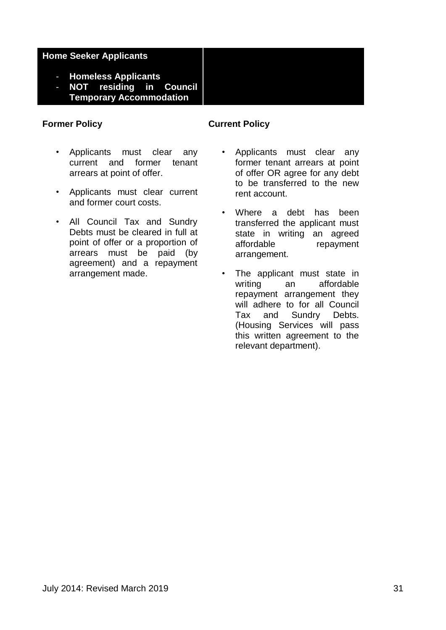#### **Home Seeker Applicants**

- **Homeless Applicants**
- **NOT residing in Council Temporary Accommodation**

- Applicants must clear any current and former tenant arrears at point of offer.
- Applicants must clear current and former court costs.
- All Council Tax and Sundry Debts must be cleared in full at point of offer or a proportion of arrears must be paid (by agreement) and a repayment arrangement made.

#### **Former Policy Current Policy**

- Applicants must clear any former tenant arrears at point of offer OR agree for any debt to be transferred to the new rent account.
- Where a debt has been transferred the applicant must state in writing an agreed affordable repayment arrangement.
- The applicant must state in writing an affordable repayment arrangement they will adhere to for all Council Tax and Sundry Debts. (Housing Services will pass this written agreement to the relevant department).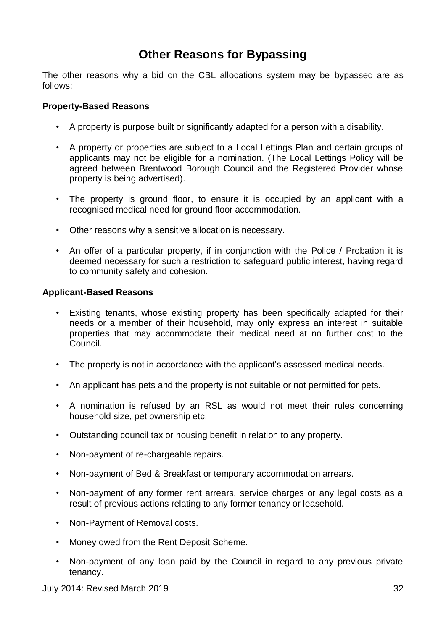### **Other Reasons for Bypassing**

The other reasons why a bid on the CBL allocations system may be bypassed are as follows:

#### **Property-Based Reasons**

- A property is purpose built or significantly adapted for a person with a disability.
- A property or properties are subject to a Local Lettings Plan and certain groups of applicants may not be eligible for a nomination. (The Local Lettings Policy will be agreed between Brentwood Borough Council and the Registered Provider whose property is being advertised).
- The property is ground floor, to ensure it is occupied by an applicant with a recognised medical need for ground floor accommodation.
- Other reasons why a sensitive allocation is necessary.
- An offer of a particular property, if in conjunction with the Police / Probation it is deemed necessary for such a restriction to safeguard public interest, having regard to community safety and cohesion.

#### **Applicant-Based Reasons**

- Existing tenants, whose existing property has been specifically adapted for their needs or a member of their household, may only express an interest in suitable properties that may accommodate their medical need at no further cost to the Council.
- The property is not in accordance with the applicant's assessed medical needs.
- An applicant has pets and the property is not suitable or not permitted for pets.
- A nomination is refused by an RSL as would not meet their rules concerning household size, pet ownership etc.
- Outstanding council tax or housing benefit in relation to any property.
- Non-payment of re-chargeable repairs.
- Non-payment of Bed & Breakfast or temporary accommodation arrears.
- Non-payment of any former rent arrears, service charges or any legal costs as a result of previous actions relating to any former tenancy or leasehold.
- Non-Payment of Removal costs.
- Money owed from the Rent Deposit Scheme.
- Non-payment of any loan paid by the Council in regard to any previous private tenancy.